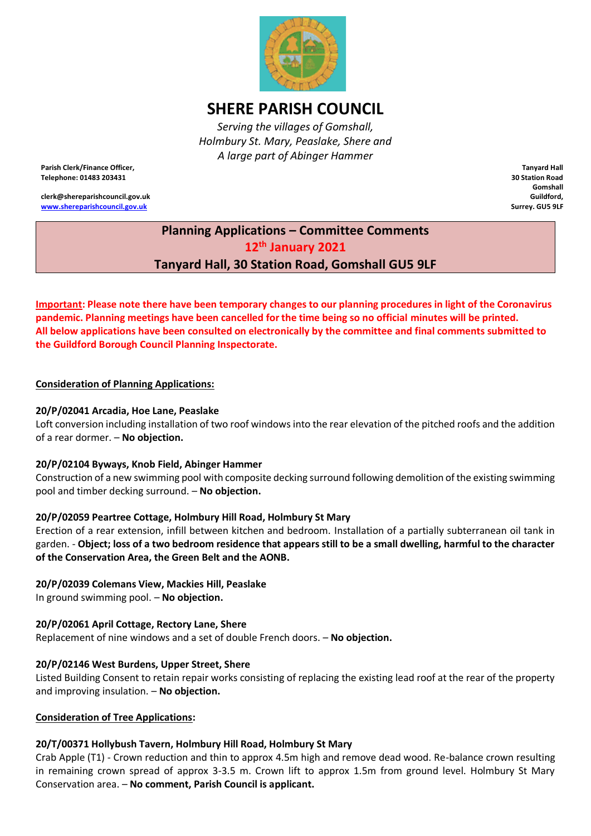

# **SHERE PARISH COUNCIL**

*Serving the villages of Gomshall, Holmbury St. Mary, Peaslake, Shere and A large part of Abinger Hammer*

**Parish Clerk/Finance Officer, Telephone: 01483 203431**

**clerk@shereparishcouncil.gov.uk [www.shereparishcouncil.gov.uk](http://www.shereparishcouncil.gov.uk/)**

**Tanyard Hall 30 Station Road Gomshall Guildford, Surrey. GU5 9LF**

## **Planning Applications – Committee Comments 12th January 2021 Tanyard Hall, 30 Station Road, Gomshall GU5 9LF**

**Important: Please note there have been temporary changes to our planning procedures in light of the Coronavirus pandemic. Planning meetings have been cancelled for the time being so no official minutes will be printed. All below applications have been consulted on electronically by the committee and final comments submitted to the Guildford Borough Council Planning Inspectorate.** 

#### **Consideration of Planning Applications:**

#### **20/P/02041 Arcadia, Hoe Lane, Peaslake**

Loft conversion including installation of two roof windows into the rear elevation of the pitched roofs and the addition of a rear dormer. – **No objection.**

#### **20/P/02104 Byways, Knob Field, Abinger Hammer**

Construction of a new swimming pool with composite decking surround following demolition of the existing swimming pool and timber decking surround. – **No objection.**

#### **20/P/02059 Peartree Cottage, Holmbury Hill Road, Holmbury St Mary**

Erection of a rear extension, infill between kitchen and bedroom. Installation of a partially subterranean oil tank in garden. - **Object; loss of a two bedroom residence that appears still to be a small dwelling, harmful to the character of the Conservation Area, the Green Belt and the AONB.**

#### **20/P/02039 Colemans View, Mackies Hill, Peaslake**

In ground swimming pool. – **No objection.**

#### **20/P/02061 April Cottage, Rectory Lane, Shere**

Replacement of nine windows and a set of double French doors. – **No objection.**

#### **20/P/02146 West Burdens, Upper Street, Shere**

Listed Building Consent to retain repair works consisting of replacing the existing lead roof at the rear of the property and improving insulation. – **No objection.**

#### **Consideration of Tree Applications:**

#### **20/T/00371 Hollybush Tavern, Holmbury Hill Road, Holmbury St Mary**

Crab Apple (T1) - Crown reduction and thin to approx 4.5m high and remove dead wood. Re-balance crown resulting in remaining crown spread of approx 3-3.5 m. Crown lift to approx 1.5m from ground level. Holmbury St Mary Conservation area. – **No comment, Parish Council is applicant.**